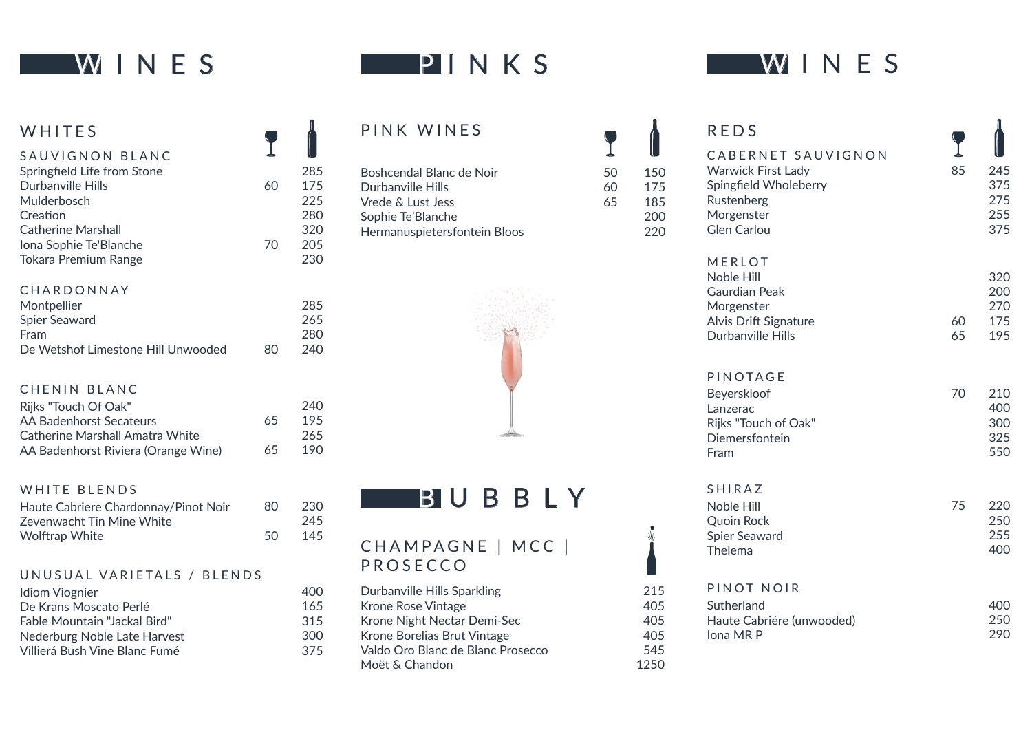# **WINES**

## PINKS

| WHITES                                         |
|------------------------------------------------|
| SAUVIGNON BLANC<br>Springfield Life from Stone |
| Durbanville Hills                              |
| Mulderbosch<br>Creation                        |
| Catherine Marshall                             |
| Iona Sophie Te'Blanche                         |
| <b>Tokara Premium Range</b>                    |

#### CHARDONNAY

| Montpellier                        |    | 285 |
|------------------------------------|----|-----|
| Spier Seaward                      |    | 265 |
| Fram                               |    | 280 |
| De Wetshof Limestone Hill Unwooded | 80 | 240 |

60

T

ſ

70

### CHENIN BLANC

| Rijks "Touch Of Oak"                |    | 240 |
|-------------------------------------|----|-----|
| AA Badenhorst Secateurs             | 65 | 195 |
| Catherine Marshall Amatra White     |    | 265 |
| AA Badenhorst Riviera (Orange Wine) | 65 | 190 |

#### WHITE BLENDS

| Haute Cabriere Chardonnay/Pinot Noir | 80 | -230 |
|--------------------------------------|----|------|
| Zevenwacht Tin Mine White            |    | 245  |
| Wolftrap White                       | 50 | 145  |

#### UNUSUAL VARIETALS / BLENDS

| Idiom Viognier                      |  |
|-------------------------------------|--|
| De Krans Moscato Perlé              |  |
| <b>Fable Mountain "Jackal Bird"</b> |  |
| Nederburg Noble Late Harvest        |  |
| Villierá Bush Vine Blanc Fumé       |  |

### PINK WINES

| Boshcendal Blanc de Noir     |
|------------------------------|
| Durbanville Hills            |
| Vrede & Lust Jess            |
| Sophie Te'Blanche            |
| Hermanuspietersfontein Bloos |
|                              |



Ï

 $\frac{1}{2}$ 

50 60 65

 $\blacksquare$ 

## **BUBBLY**

## CHAMPAGNE | MCC | PROSECCO

| Durbanville Hills Sparkling       |
|-----------------------------------|
| Krone Rose Vintage                |
| Krone Night Nectar Demi-Sec       |
| Krone Borelias Brut Vintage       |
| Valdo Oro Blanc de Blanc Prosecco |
| Moët & Chandon                    |
|                                   |

# W INES

| <b>REDS</b><br>CABERNET SAUVIGNON<br><b>Warwick First Lady</b><br>Spingfield Wholeberry<br>Rustenberg<br>Morgenster<br><b>Glen Carlou</b> | 85       | 245<br>375<br>275<br>255<br>375 |
|-------------------------------------------------------------------------------------------------------------------------------------------|----------|---------------------------------|
| MERLOT<br>Noble Hill<br><b>Gaurdian Peak</b><br>Morgenster<br>Alvis Drift Signature<br>Durbanville Hills                                  | 60<br>65 | 320<br>200<br>270<br>175<br>195 |
| PINOTAGE<br>Beyerskloof<br>Lanzerac<br>Rijks "Touch of Oak"<br>Diemersfontein<br>Fram                                                     | 70       | 210<br>400<br>300<br>325<br>550 |
| <b>SHIRAZ</b><br>Noble Hill<br><b>Quoin Rock</b><br><b>Spier Seaward</b><br>Thelema                                                       | 75       | 220<br>250<br>255<br>400        |
| PINOT NOIR<br>Sutherland<br>Haute Cabriére (unwooded)<br>Iona MR P                                                                        |          | 400<br>250<br>290               |